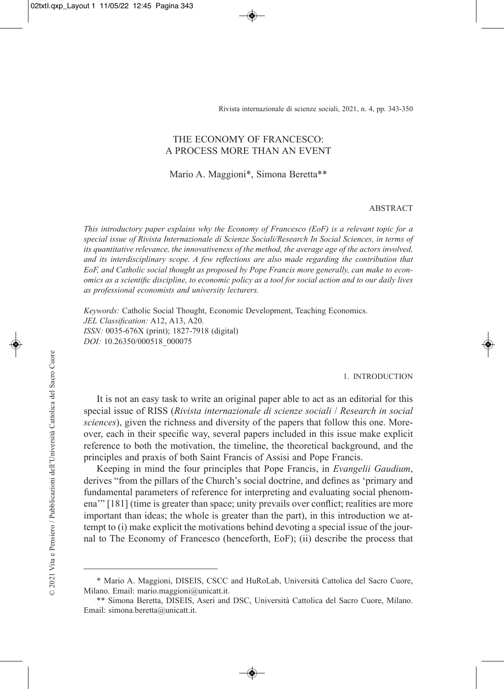Rivista internazionale di scienze sociali, 2021, n. 4, pp. 343-350

# THE ECONOMY OF FRANCESCO: A PROCESS MORE THAN AN EVENT

Mario A. Maggioni\*, Simona Beretta\*\*

#### ABSTRACT

*This introductory paper explains why the Economy of Francesco (EoF) is a relevant topic for a special issue of Rivista Internazionale di Scienze Sociali/Research In Social Sciences, in terms of its quantitative relevance, the innovativeness of the method, the average age of the actors involved, and its interdisciplinary scope. A few reflections are also made regarding the contribution that EoF, and Catholic social thought as proposed by Pope Francis more generally, can make to economics as a scientific discipline, to economic policy as a tool for social action and to our daily lives as professional economists and university lecturers.*

*Keywords:* Catholic Social Thought, Economic Development, Teaching Economics. *JEL Classification:* A12, A13, A20. *ISSN:* 0035-676X (print); 1827-7918 (digital) *DOI:* 10.26350/000518\_000075

#### 1. INTRODUCTION

It is not an easy task to write an original paper able to act as an editorial for this special issue of RISS (*Rivista internazionale di scienze sociali* / *Research in social sciences*), given the richness and diversity of the papers that follow this one. Moreover, each in their specific way, several papers included in this issue make explicit reference to both the motivation, the timeline, the theoretical background, and the principles and praxis of both Saint Francis of Assisi and Pope Francis.

Keeping in mind the four principles that Pope Francis, in *Evangelii Gaudium*, derives "from the pillars of the Church's social doctrine, and defines as 'primary and fundamental parameters of reference for interpreting and evaluating social phenomena'" [181] (time is greater than space; unity prevails over conflict; realities are more important than ideas; the whole is greater than the part), in this introduction we attempt to (i) make explicit the motivations behind devoting a special issue of the journal to The Economy of Francesco (henceforth, EoF); (ii) describe the process that

<sup>\*</sup> Mario A. Maggioni, DISEIS, CSCC and HuRoLab, Università Cattolica del Sacro Cuore, Milano. Email: mario.maggioni@unicatt.it.

<sup>\*\*</sup> Simona Beretta, DISEIS, Aseri and DSC, Università Cattolica del Sacro Cuore, Milano. Email: simona.beretta@unicatt.it.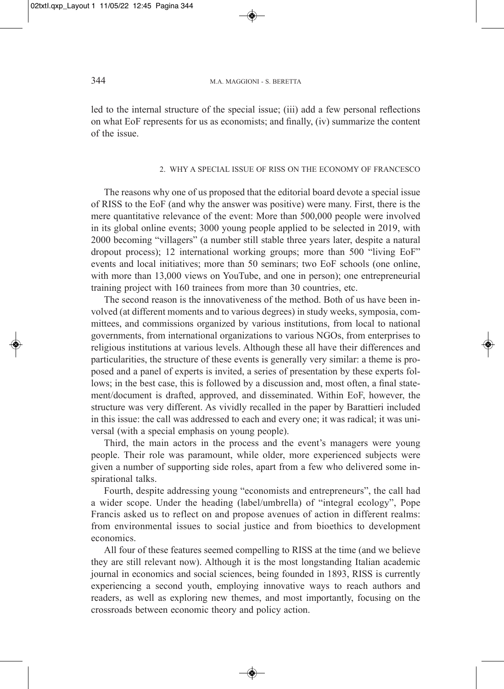led to the internal structure of the special issue; (iii) add a few personal reflections on what EoF represents for us as economists; and finally, (iv) summarize the content of the issue.

### 2. WHY A SPECIAL ISSUE OF RISS ON THE ECONOMY OF FRANCESCO

The reasons why one of us proposed that the editorial board devote a special issue of RISS to the EoF (and why the answer was positive) were many. First, there is the mere quantitative relevance of the event: More than 500,000 people were involved in its global online events; 3000 young people applied to be selected in 2019, with 2000 becoming "villagers" (a number still stable three years later, despite a natural dropout process); 12 international working groups; more than 500 "living EoF" events and local initiatives; more than 50 seminars; two EoF schools (one online, with more than 13,000 views on YouTube, and one in person); one entrepreneurial training project with 160 trainees from more than 30 countries, etc.

The second reason is the innovativeness of the method. Both of us have been involved (at different moments and to various degrees) in study weeks, symposia, committees, and commissions organized by various institutions, from local to national governments, from international organizations to various NGOs, from enterprises to religious institutions at various levels. Although these all have their differences and particularities, the structure of these events is generally very similar: a theme is proposed and a panel of experts is invited, a series of presentation by these experts follows; in the best case, this is followed by a discussion and, most often, a final statement/document is drafted, approved, and disseminated. Within EoF, however, the structure was very different. As vividly recalled in the paper by Barattieri included in this issue: the call was addressed to each and every one; it was radical; it was universal (with a special emphasis on young people).

Third, the main actors in the process and the event's managers were young people. Their role was paramount, while older, more experienced subjects were given a number of supporting side roles, apart from a few who delivered some inspirational talks.

Fourth, despite addressing young "economists and entrepreneurs", the call had a wider scope. Under the heading (label/umbrella) of "integral ecology", Pope Francis asked us to reflect on and propose avenues of action in different realms: from environmental issues to social justice and from bioethics to development economics.

All four of these features seemed compelling to RISS at the time (and we believe they are still relevant now). Although it is the most longstanding Italian academic journal in economics and social sciences, being founded in 1893, RISS is currently experiencing a second youth, employing innovative ways to reach authors and readers, as well as exploring new themes, and most importantly, focusing on the crossroads between economic theory and policy action.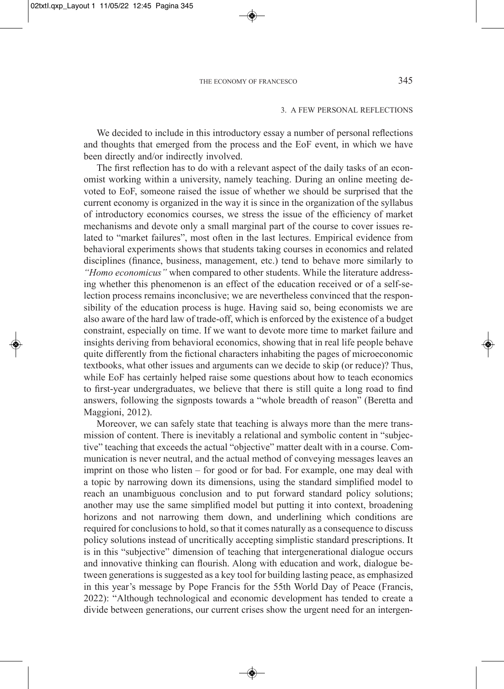### 3. A FEW PERSONAL REFLECTIONS

We decided to include in this introductory essay a number of personal reflections and thoughts that emerged from the process and the EoF event, in which we have been directly and/or indirectly involved.

The first reflection has to do with a relevant aspect of the daily tasks of an economist working within a university, namely teaching. During an online meeting devoted to EoF, someone raised the issue of whether we should be surprised that the current economy is organized in the way it is since in the organization of the syllabus of introductory economics courses, we stress the issue of the efficiency of market mechanisms and devote only a small marginal part of the course to cover issues related to "market failures", most often in the last lectures. Empirical evidence from behavioral experiments shows that students taking courses in economics and related disciplines (finance, business, management, etc.) tend to behave more similarly to *"Homo economicus"* when compared to other students. While the literature addressing whether this phenomenon is an effect of the education received or of a self-selection process remains inconclusive; we are nevertheless convinced that the responsibility of the education process is huge. Having said so, being economists we are also aware of the hard law of trade-off, which is enforced by the existence of a budget constraint, especially on time. If we want to devote more time to market failure and insights deriving from behavioral economics, showing that in real life people behave quite differently from the fictional characters inhabiting the pages of microeconomic textbooks, what other issues and arguments can we decide to skip (or reduce)? Thus, while EoF has certainly helped raise some questions about how to teach economics to first-year undergraduates, we believe that there is still quite a long road to find answers, following the signposts towards a "whole breadth of reason" (Beretta and Maggioni, 2012).

Moreover, we can safely state that teaching is always more than the mere transmission of content. There is inevitably a relational and symbolic content in "subjective" teaching that exceeds the actual "objective" matter dealt with in a course. Communication is never neutral, and the actual method of conveying messages leaves an imprint on those who listen – for good or for bad. For example, one may deal with a topic by narrowing down its dimensions, using the standard simplified model to reach an unambiguous conclusion and to put forward standard policy solutions; another may use the same simplified model but putting it into context, broadening horizons and not narrowing them down, and underlining which conditions are required for conclusions to hold, so that it comes naturally as a consequence to discuss policy solutions instead of uncritically accepting simplistic standard prescriptions. It is in this "subjective" dimension of teaching that intergenerational dialogue occurs and innovative thinking can flourish. Along with education and work, dialogue between generations is suggested as a key tool for building lasting peace, as emphasized in this year's message by Pope Francis for the 55th World Day of Peace (Francis, 2022): "Although technological and economic development has tended to create a divide between generations, our current crises show the urgent need for an intergen-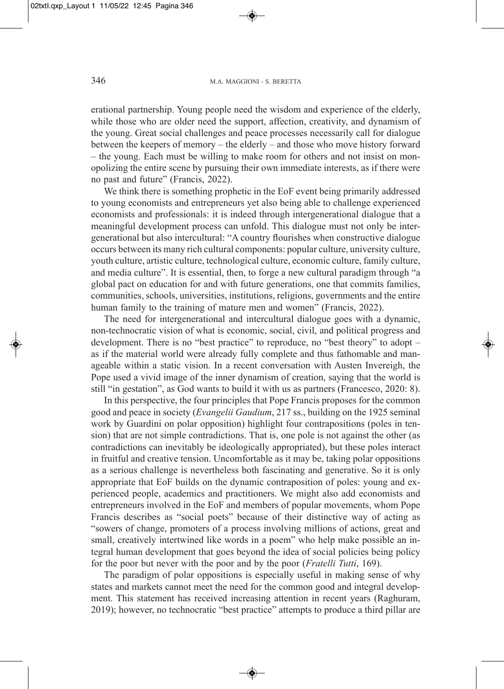erational partnership. Young people need the wisdom and experience of the elderly, while those who are older need the support, affection, creativity, and dynamism of the young. Great social challenges and peace processes necessarily call for dialogue between the keepers of memory – the elderly – and those who move history forward – the young. Each must be willing to make room for others and not insist on monopolizing the entire scene by pursuing their own immediate interests, as if there were no past and future" (Francis, 2022).

We think there is something prophetic in the EoF event being primarily addressed to young economists and entrepreneurs yet also being able to challenge experienced economists and professionals: it is indeed through intergenerational dialogue that a meaningful development process can unfold. This dialogue must not only be intergenerational but also intercultural: "A country flourishes when constructive dialogue occurs between its many rich cultural components: popular culture, university culture, youth culture, artistic culture, technological culture, economic culture, family culture, and media culture". It is essential, then, to forge a new cultural paradigm through "a global pact on education for and with future generations, one that commits families, communities, schools, universities, institutions, religions, governments and the entire human family to the training of mature men and women" (Francis, 2022).

The need for intergenerational and intercultural dialogue goes with a dynamic, non-technocratic vision of what is economic, social, civil, and political progress and development. There is no "best practice" to reproduce, no "best theory" to adopt – as if the material world were already fully complete and thus fathomable and manageable within a static vision. In a recent conversation with Austen Invereigh, the Pope used a vivid image of the inner dynamism of creation, saying that the world is still "in gestation", as God wants to build it with us as partners (Francesco, 2020: 8).

In this perspective, the four principles that Pope Francis proposes for the common good and peace in society (*Evangelii Gaudium*, 217 ss., building on the 1925 seminal work by Guardini on polar opposition) highlight four contrapositions (poles in tension) that are not simple contradictions. That is, one pole is not against the other (as contradictions can inevitably be ideologically appropriated), but these poles interact in fruitful and creative tension. Uncomfortable as it may be, taking polar oppositions as a serious challenge is nevertheless both fascinating and generative. So it is only appropriate that EoF builds on the dynamic contraposition of poles: young and experienced people, academics and practitioners. We might also add economists and entrepreneurs involved in the EoF and members of popular movements, whom Pope Francis describes as "social poets" because of their distinctive way of acting as "sowers of change, promoters of a process involving millions of actions, great and small, creatively intertwined like words in a poem" who help make possible an integral human development that goes beyond the idea of social policies being policy for the poor but never with the poor and by the poor (*Fratelli Tutti*, 169).

The paradigm of polar oppositions is especially useful in making sense of why states and markets cannot meet the need for the common good and integral development. This statement has received increasing attention in recent years (Raghuram, 2019); however, no technocratic "best practice" attempts to produce a third pillar are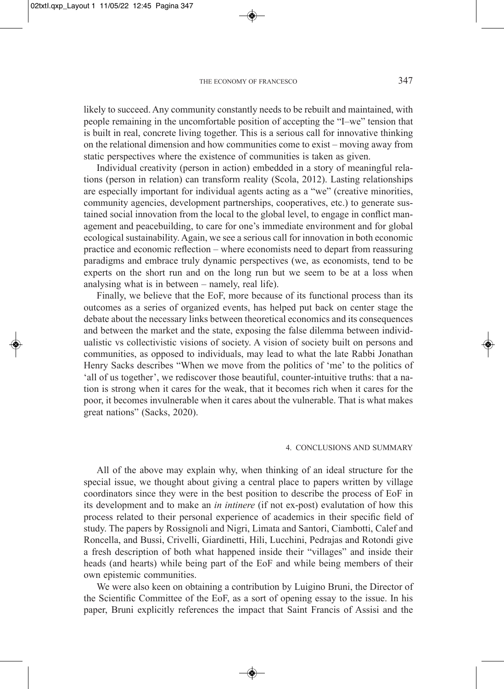likely to succeed. Any community constantly needs to be rebuilt and maintained, with people remaining in the uncomfortable position of accepting the "I–we" tension that is built in real, concrete living together. This is a serious call for innovative thinking on the relational dimension and how communities come to exist – moving away from static perspectives where the existence of communities is taken as given.

Individual creativity (person in action) embedded in a story of meaningful relations (person in relation) can transform reality (Scola, 2012). Lasting relationships are especially important for individual agents acting as a "we" (creative minorities, community agencies, development partnerships, cooperatives, etc.) to generate sustained social innovation from the local to the global level, to engage in conflict management and peacebuilding, to care for one's immediate environment and for global ecological sustainability. Again, we see a serious call for innovation in both economic practice and economic reflection – where economists need to depart from reassuring paradigms and embrace truly dynamic perspectives (we, as economists, tend to be experts on the short run and on the long run but we seem to be at a loss when analysing what is in between – namely, real life).

Finally, we believe that the EoF, more because of its functional process than its outcomes as a series of organized events, has helped put back on center stage the debate about the necessary links between theoretical economics and its consequences and between the market and the state, exposing the false dilemma between individualistic vs collectivistic visions of society. A vision of society built on persons and communities, as opposed to individuals, may lead to what the late Rabbi Jonathan Henry Sacks describes "When we move from the politics of 'me' to the politics of 'all of us together', we rediscover those beautiful, counter-intuitive truths: that a nation is strong when it cares for the weak, that it becomes rich when it cares for the poor, it becomes invulnerable when it cares about the vulnerable. That is what makes great nations" (Sacks, 2020).

### 4. CONCLUSIONS AND SUMMARY

All of the above may explain why, when thinking of an ideal structure for the special issue, we thought about giving a central place to papers written by village coordinators since they were in the best position to describe the process of EoF in its development and to make an *in intinere* (if not ex-post) evalutation of how this process related to their personal experience of academics in their specific field of study. The papers by Rossignoli and Nigri, Limata and Santori, Ciambotti, Calef and Roncella, and Bussi, Crivelli, Giardinetti, Hili, Lucchini, Pedrajas and Rotondi give a fresh description of both what happened inside their "villages" and inside their heads (and hearts) while being part of the EoF and while being members of their own epistemic communities.

We were also keen on obtaining a contribution by Luigino Bruni, the Director of the Scientific Committee of the EoF, as a sort of opening essay to the issue. In his paper, Bruni explicitly references the impact that Saint Francis of Assisi and the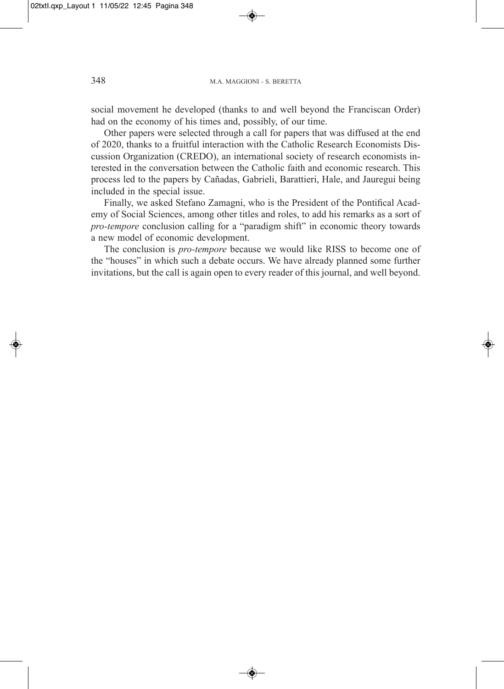social movement he developed (thanks to and well beyond the Franciscan Order) had on the economy of his times and, possibly, of our time.

Other papers were selected through a call for papers that was diffused at the end of 2020, thanks to a fruitful interaction with the Catholic Research Economists Discussion Organization (CREDO), an international society of research economists interested in the conversation between the Catholic faith and economic research. This process led to the papers by Cañadas, Gabrieli, Barattieri, Hale, and Jauregui being included in the special issue.

Finally, we asked Stefano Zamagni, who is the President of the Pontifical Academy of Social Sciences, among other titles and roles, to add his remarks as a sort of *pro-tempore* conclusion calling for a "paradigm shift" in economic theory towards a new model of economic development.

The conclusion is *pro-tempore* because we would like RISS to become one of the "houses" in which such a debate occurs. We have already planned some further invitations, but the call is again open to every reader of this journal, and well beyond.